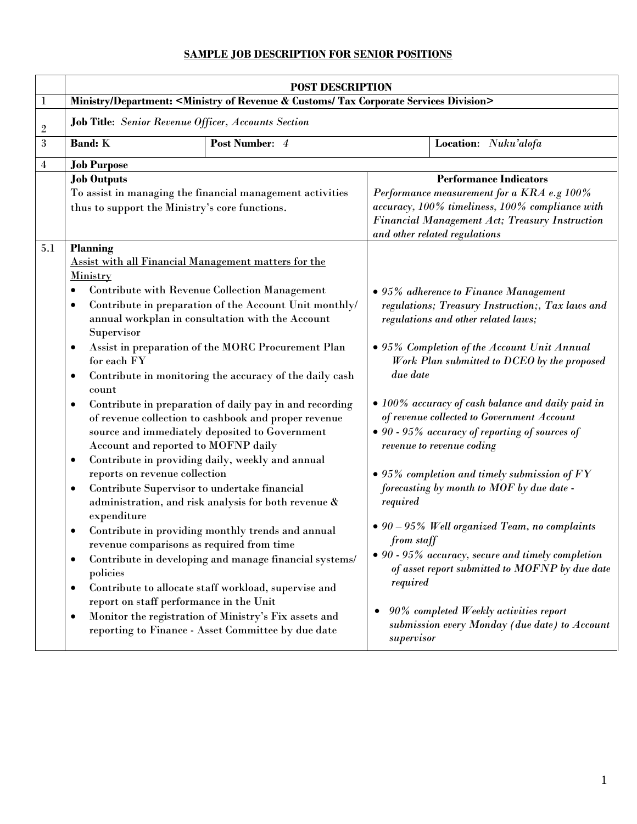## **SAMPLE JOB DESCRIPTION FOR SENIOR POSITIONS**

|                  | <b>POST DESCRIPTION</b>                                                                                                                                                                                                                                                                                                                                                                                                                                                                                                                                                                                                                                                                                                                                                                                                                                                                                                                                                                                                                                                                                                                                                                                                                                                                                                                                     |                |                                                                                                                                                                                                                                                                                                                                                                                                                                                                                                                                                                                                                                                                                                                                                                                                  |                      |  |
|------------------|-------------------------------------------------------------------------------------------------------------------------------------------------------------------------------------------------------------------------------------------------------------------------------------------------------------------------------------------------------------------------------------------------------------------------------------------------------------------------------------------------------------------------------------------------------------------------------------------------------------------------------------------------------------------------------------------------------------------------------------------------------------------------------------------------------------------------------------------------------------------------------------------------------------------------------------------------------------------------------------------------------------------------------------------------------------------------------------------------------------------------------------------------------------------------------------------------------------------------------------------------------------------------------------------------------------------------------------------------------------|----------------|--------------------------------------------------------------------------------------------------------------------------------------------------------------------------------------------------------------------------------------------------------------------------------------------------------------------------------------------------------------------------------------------------------------------------------------------------------------------------------------------------------------------------------------------------------------------------------------------------------------------------------------------------------------------------------------------------------------------------------------------------------------------------------------------------|----------------------|--|
| 1                | Ministry/Department: <ministry &="" corporate="" customs="" division="" of="" revenue="" services="" tax=""></ministry>                                                                                                                                                                                                                                                                                                                                                                                                                                                                                                                                                                                                                                                                                                                                                                                                                                                                                                                                                                                                                                                                                                                                                                                                                                     |                |                                                                                                                                                                                                                                                                                                                                                                                                                                                                                                                                                                                                                                                                                                                                                                                                  |                      |  |
| $\boldsymbol{2}$ | <b>Job Title:</b> Senior Revenue Officer, Accounts Section                                                                                                                                                                                                                                                                                                                                                                                                                                                                                                                                                                                                                                                                                                                                                                                                                                                                                                                                                                                                                                                                                                                                                                                                                                                                                                  |                |                                                                                                                                                                                                                                                                                                                                                                                                                                                                                                                                                                                                                                                                                                                                                                                                  |                      |  |
| $\mathbf{3}$     | <b>Band: K</b>                                                                                                                                                                                                                                                                                                                                                                                                                                                                                                                                                                                                                                                                                                                                                                                                                                                                                                                                                                                                                                                                                                                                                                                                                                                                                                                                              | Post Number: 4 |                                                                                                                                                                                                                                                                                                                                                                                                                                                                                                                                                                                                                                                                                                                                                                                                  | Location: Nuku'alofa |  |
| 4                | <b>Job Purpose</b>                                                                                                                                                                                                                                                                                                                                                                                                                                                                                                                                                                                                                                                                                                                                                                                                                                                                                                                                                                                                                                                                                                                                                                                                                                                                                                                                          |                |                                                                                                                                                                                                                                                                                                                                                                                                                                                                                                                                                                                                                                                                                                                                                                                                  |                      |  |
|                  | <b>Job Outputs</b><br>To assist in managing the financial management activities<br>thus to support the Ministry's core functions.                                                                                                                                                                                                                                                                                                                                                                                                                                                                                                                                                                                                                                                                                                                                                                                                                                                                                                                                                                                                                                                                                                                                                                                                                           |                | <b>Performance Indicators</b><br>Performance measurement for a KRA e.g 100%<br>accuracy, 100% timeliness, 100% compliance with<br>Financial Management Act; Treasury Instruction<br>and other related regulations                                                                                                                                                                                                                                                                                                                                                                                                                                                                                                                                                                                |                      |  |
| 5.1              | <b>Planning</b><br><b>Assist with all Financial Management matters for the</b><br>Ministry<br><b>Contribute with Revenue Collection Management</b><br>٠<br>Contribute in preparation of the Account Unit monthly/<br>٠<br>annual workplan in consultation with the Account<br>Supervisor<br>Assist in preparation of the MORC Procurement Plan<br>$\bullet$<br>for each FY<br>Contribute in monitoring the accuracy of the daily cash<br>$\bullet$<br>count<br>Contribute in preparation of daily pay in and recording<br>$\bullet$<br>of revenue collection to cashbook and proper revenue<br>source and immediately deposited to Government<br>Account and reported to MOFNP daily<br>Contribute in providing daily, weekly and annual<br>$\bullet$<br>reports on revenue collection<br>Contribute Supervisor to undertake financial<br>$\bullet$<br>administration, and risk analysis for both revenue &<br>expenditure<br>Contribute in providing monthly trends and annual<br>revenue comparisons as required from time<br>Contribute in developing and manage financial systems/<br>$\bullet$<br>policies<br>Contribute to allocate staff workload, supervise and<br>$\bullet$<br>report on staff performance in the Unit<br>Monitor the registration of Ministry's Fix assets and<br>$\bullet$<br>reporting to Finance - Asset Committee by due date |                | • 95% adherence to Finance Management<br>regulations; Treasury Instruction;, Tax laws and<br>regulations and other related laws;<br>• 95% Completion of the Account Unit Annual<br>Work Plan submitted to DCEO by the proposed<br>due date<br>• 100% accuracy of cash balance and daily paid in<br>of revenue collected to Government Account<br>• 90 - 95% accuracy of reporting of sources of<br>revenue to revenue coding<br>$\bullet$ 95% completion and timely submission of $FY$<br>forecasting by month to MOF by due date -<br>required<br>$\bullet$ 90 – 95% Well organized Team, no complaints<br>from staff<br>$\bullet$ 90 - 95% accuracy, secure and timely completion<br>of asset report submitted to MOFNP by due date<br>required<br>90% completed Weekly activities report<br>٠ |                      |  |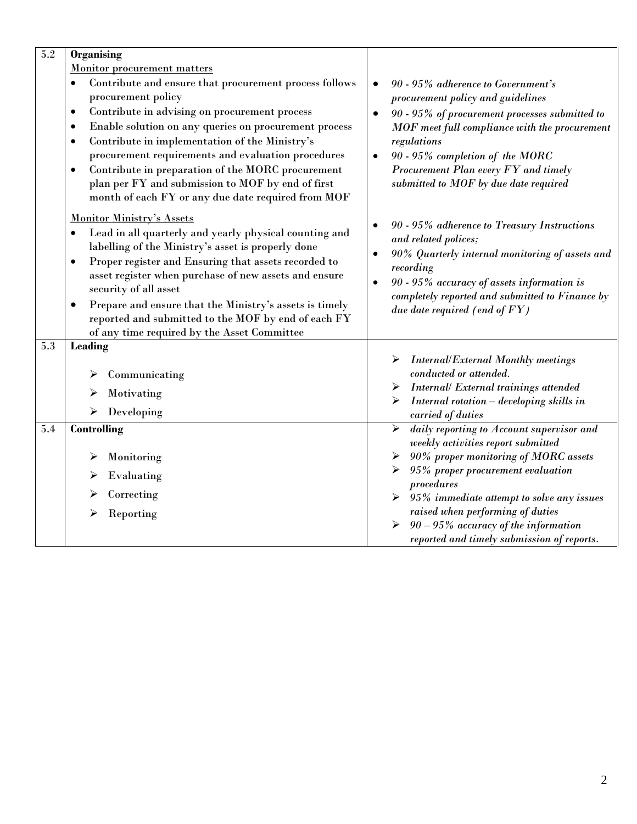| $\overline{5.2}$       | <b>Organising</b>                                                                                                                                                                                                                                                                                                                                                                                                                                                                                                 |                                                                                                                                                                                                                                                                                                                                        |
|------------------------|-------------------------------------------------------------------------------------------------------------------------------------------------------------------------------------------------------------------------------------------------------------------------------------------------------------------------------------------------------------------------------------------------------------------------------------------------------------------------------------------------------------------|----------------------------------------------------------------------------------------------------------------------------------------------------------------------------------------------------------------------------------------------------------------------------------------------------------------------------------------|
|                        | <b>Monitor procurement matters</b>                                                                                                                                                                                                                                                                                                                                                                                                                                                                                |                                                                                                                                                                                                                                                                                                                                        |
|                        | Contribute and ensure that procurement process follows<br>procurement policy                                                                                                                                                                                                                                                                                                                                                                                                                                      | 90 - 95% adherence to Government's<br>$\bullet$<br>procurement policy and guidelines                                                                                                                                                                                                                                                   |
|                        | Contribute in advising on procurement process<br>٠<br>Enable solution on any queries on procurement process<br>$\bullet$<br>Contribute in implementation of the Ministry's<br>$\bullet$<br>procurement requirements and evaluation procedures<br>Contribute in preparation of the MORC procurement<br>$\bullet$<br>plan per FY and submission to MOF by end of first                                                                                                                                              | 90 - 95% of procurement processes submitted to<br>$\bullet$<br>MOF meet full compliance with the procurement<br>regulations<br>90 - 95% completion of the MORC<br>$\bullet$<br>Procurement Plan every FY and timely<br>submitted to MOF by due date required                                                                           |
| $\bullet$<br>$\bullet$ | month of each FY or any due date required from MOF<br><b>Monitor Ministry's Assets</b><br>Lead in all quarterly and yearly physical counting and<br>labelling of the Ministry's asset is properly done<br>Proper register and Ensuring that assets recorded to<br>asset register when purchase of new assets and ensure<br>security of all asset<br>Prepare and ensure that the Ministry's assets is timely<br>reported and submitted to the MOF by end of each FY<br>of any time required by the Asset Committee | 90 - 95% adherence to Treasury Instructions<br>٠<br>and related polices;<br>90% Quarterly internal monitoring of assets and<br>$\bullet$<br>recording<br>90 - 95% accuracy of assets information is<br>$\bullet$<br>completely reported and submitted to Finance by<br>due date required (end of $FY$ )                                |
| 5.3                    | Leading                                                                                                                                                                                                                                                                                                                                                                                                                                                                                                           |                                                                                                                                                                                                                                                                                                                                        |
|                        | Communicating<br>➤<br>Motivating<br>➤<br>$\triangleright$ Developing                                                                                                                                                                                                                                                                                                                                                                                                                                              | <b>Internal/External Monthly meetings</b><br>conducted or attended.<br>Internal/ External trainings attended<br>➤<br>Internal rotation - developing skills in<br>➤<br>carried of duties                                                                                                                                                |
| 5.4                    | <b>Controlling</b>                                                                                                                                                                                                                                                                                                                                                                                                                                                                                                | daily reporting to Account supervisor and<br>$\blacktriangleright$                                                                                                                                                                                                                                                                     |
|                        | Monitoring<br>➤<br>Evaluating<br>➤<br>Correcting<br>➤<br>Reporting                                                                                                                                                                                                                                                                                                                                                                                                                                                | weekly activities report submitted<br>90% proper monitoring of MORC assets<br>95% proper procurement evaluation<br>procedures<br>$\triangleright$ 95% immediate attempt to solve any issues<br>raised when performing of duties<br>$\triangleright$ 90 - 95% accuracy of the information<br>reported and timely submission of reports. |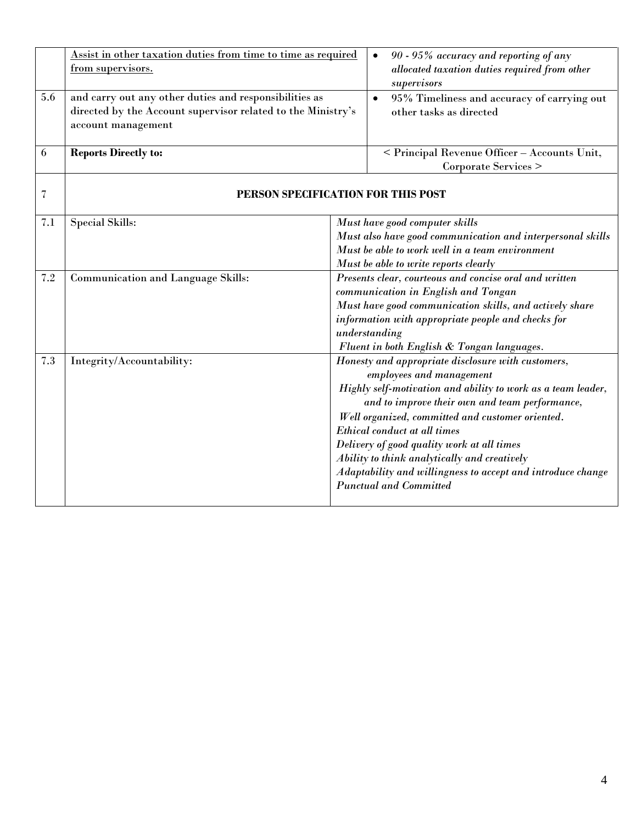|                          | Assist in other taxation duties from time to time as required<br>from supervisors.                                                           | 90 - 95% accuracy and reporting of any<br>$\bullet$<br>allocated taxation duties required from other<br>supervisors |                                                                                                                                                                                                                                                                                                                                                                                                                                                                                    |  |
|--------------------------|----------------------------------------------------------------------------------------------------------------------------------------------|---------------------------------------------------------------------------------------------------------------------|------------------------------------------------------------------------------------------------------------------------------------------------------------------------------------------------------------------------------------------------------------------------------------------------------------------------------------------------------------------------------------------------------------------------------------------------------------------------------------|--|
| 5.6                      | and carry out any other duties and responsibilities as<br>directed by the Account supervisor related to the Ministry's<br>account management |                                                                                                                     | 95% Timeliness and accuracy of carrying out<br>$\bullet$<br>other tasks as directed                                                                                                                                                                                                                                                                                                                                                                                                |  |
| 6                        | <b>Reports Directly to:</b>                                                                                                                  |                                                                                                                     | < Principal Revenue Officer - Accounts Unit,<br>Corporate Services >                                                                                                                                                                                                                                                                                                                                                                                                               |  |
| $\overline{\mathcal{U}}$ | PERSON SPECIFICATION FOR THIS POST                                                                                                           |                                                                                                                     |                                                                                                                                                                                                                                                                                                                                                                                                                                                                                    |  |
| 7.1                      | <b>Special Skills:</b>                                                                                                                       |                                                                                                                     | Must have good computer skills<br>Must also have good communication and interpersonal skills<br>Must be able to work well in a team environment<br>Must be able to write reports clearly                                                                                                                                                                                                                                                                                           |  |
| 7.2                      | <b>Communication and Language Skills:</b>                                                                                                    |                                                                                                                     | Presents clear, courteous and concise oral and written<br>communication in English and Tongan<br>Must have good communication skills, and actively share<br>information with appropriate people and checks for<br>understanding<br>Fluent in both English & Tongan languages.                                                                                                                                                                                                      |  |
| 7.3                      | Integrity/Accountability:                                                                                                                    |                                                                                                                     | Honesty and appropriate disclosure with customers,<br>employees and management<br>Highly self-motivation and ability to work as a team leader,<br>and to improve their own and team performance,<br>Well organized, committed and customer oriented.<br>Ethical conduct at all times<br>Delivery of good quality work at all times<br>Ability to think analytically and creatively<br>Adaptability and willingness to accept and introduce change<br><b>Punctual and Committed</b> |  |